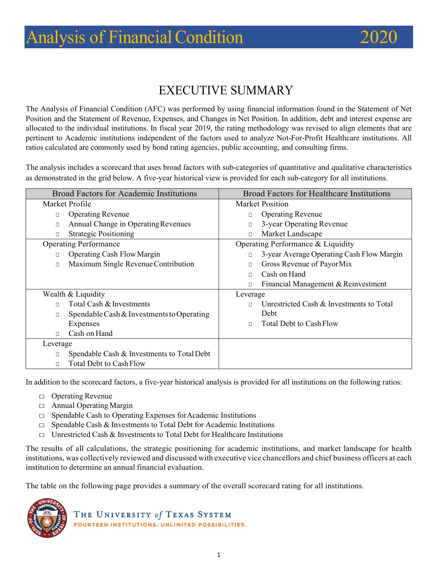

# EXECUTIVE SUMMARY

The Analysis of Financial Condition (AFC) was performed by using financial information found in the Statement of Net Position and the Statement of Revenue, Expenses, and Changes in Net Position. In addition, debt and interest expense are allocated to the individual institutions. In fiscal year 2019, the rating methodology was revised to align elements that are pertinent to Academic institutions independent of the factors used to analyze Not-For-Profit Healthcare institutions. All ratios calculated are commonly used by bond rating agencies, public accounting, and consulting firms.

The analysis includes a scorecard that uses broad factors with sub-categories of quantitative and qualitative characteristics as demonstrated in the grid below. A five-year historical view is provided for each sub-category for all institutions.

| <b>Broad Factors for Academic Institutions</b>       | <b>Broad Factors for Healthcare Institutions</b>    |  |  |
|------------------------------------------------------|-----------------------------------------------------|--|--|
| Market Profile                                       | Market Position                                     |  |  |
| <b>Operating Revenue</b><br>$\Box$                   | <b>Operating Revenue</b><br>$\Box$                  |  |  |
| Annual Change in Operating Revenues<br>$\Box$        | 3-year Operating Revenue<br>$\Box$                  |  |  |
| <b>Strategic Positioning</b><br>$\Box$               | Market Landscape<br>$\Box$                          |  |  |
| <b>Operating Performance</b>                         | Operating Performance & Liquidity                   |  |  |
| <b>Operating Cash Flow Margin</b><br>П               | 3-year Average Operating Cash Flow Margin<br>$\Box$ |  |  |
| Maximum Single Revenue Contribution<br>$\Box$        | Gross Revenue of Payor Mix<br>$\Box$                |  |  |
|                                                      | Cash on Hand<br>$\Box$                              |  |  |
|                                                      | Financial Management & Reinvestment<br>$\Box$       |  |  |
| Wealth & Liquidity                                   | Leverage                                            |  |  |
| Total Cash & Investments<br>П                        | Unrestricted Cash & Investments to Total<br>$\Box$  |  |  |
| Spendable Cash & Investments to Operating<br>$\Box$  | Debt                                                |  |  |
| Expenses                                             | <b>Total Debt to Cash Flow</b><br>$\Box$            |  |  |
| Cash on Hand<br>$\Box$                               |                                                     |  |  |
| Leverage                                             |                                                     |  |  |
| Spendable Cash & Investments to Total Debt<br>$\Box$ |                                                     |  |  |
| <b>Total Debt to Cash Flow</b><br>$\Box$             |                                                     |  |  |

In addition to the scorecard factors, a five-year historical analysis is provided for all institutions on the following ratios:

- □ Operating Revenue
- $\Box$  Annual Operating Margin
- □ Spendable Cash to Operating Expenses for Academic Institutions
- $\Box$  Spendable Cash & Investments to Total Debt for Academic Institutions
- $\Box$  Unrestricted Cash & Investments to Total Debt for Healthcare Institutions

The results of all calculations, the strategic positioning for academic institutions, and market landscape for health institutions, was collectively reviewed and discussed with executive vice chancellors and chief business officers at each institution to determine an annual financial evaluation.

The table on the following page provides a summary of the overall scorecard rating for all institutions.

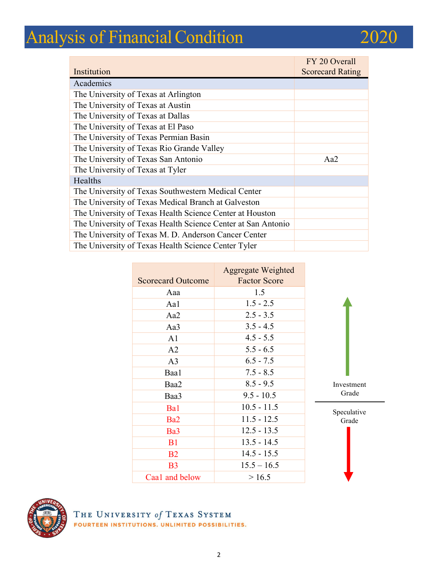# Analysis of Financial Condition 2020

|                                                              | FY 20 Overall           |
|--------------------------------------------------------------|-------------------------|
| Institution                                                  | <b>Scorecard Rating</b> |
| Academics                                                    |                         |
| The University of Texas at Arlington                         |                         |
| The University of Texas at Austin                            |                         |
| The University of Texas at Dallas                            |                         |
| The University of Texas at El Paso                           |                         |
| The University of Texas Permian Basin                        |                         |
| The University of Texas Rio Grande Valley                    |                         |
| The University of Texas San Antonio                          | Aa2                     |
| The University of Texas at Tyler                             |                         |
| <b>Healths</b>                                               |                         |
| The University of Texas Southwestern Medical Center          |                         |
| The University of Texas Medical Branch at Galveston          |                         |
| The University of Texas Health Science Center at Houston     |                         |
| The University of Texas Health Science Center at San Antonio |                         |
| The University of Texas M. D. Anderson Cancer Center         |                         |
| The University of Texas Health Science Center Tyler          |                         |

|                          | <b>Aggregate Weighted</b> |             |
|--------------------------|---------------------------|-------------|
| <b>Scorecard Outcome</b> | <b>Factor Score</b>       |             |
| Aaa                      | 1.5                       |             |
| Aa1                      | $1.5 - 2.5$               |             |
| Aa2                      | $2.5 - 3.5$               |             |
| Aa3                      | $3.5 - 4.5$               |             |
| A1                       | $4.5 - 5.5$               |             |
| A2                       | $5.5 - 6.5$               |             |
| A <sub>3</sub>           | $6.5 - 7.5$               |             |
| Baa1                     | $7.5 - 8.5$               |             |
| Baa2                     | $8.5 - 9.5$               | Investment  |
| Baa3                     | $9.5 - 10.5$              | Grade       |
| Ba1                      | $10.5 - 11.5$             | Speculative |
| Ba <sub>2</sub>          | $11.5 - 12.5$             | Grade       |
| Ba3                      | $12.5 - 13.5$             |             |
| B <sub>1</sub>           | $13.5 - 14.5$             |             |
| B <sub>2</sub>           | $14.5 - 15.5$             |             |
| B <sub>3</sub>           | $15.5 - 16.5$             |             |
| Caal and below           | >16.5                     |             |



THE UNIVERSITY of TEXAS SYSTEM FOURTEEN INSTITUTIONS. UNLIMITED POSSIBILITIES.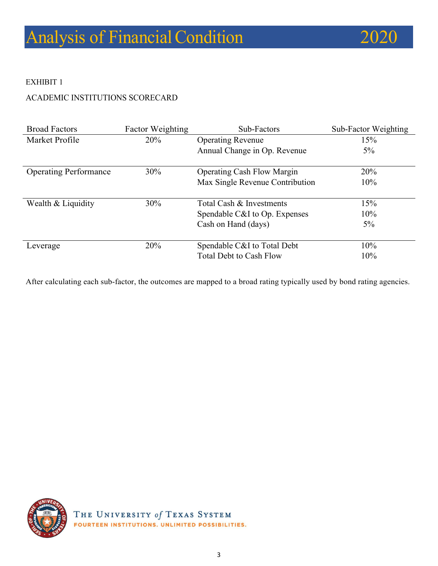

#### EXHIBIT 1

#### ACADEMIC INSTITUTIONS SCORECARD

| <b>Broad Factors</b>         | <b>Factor Weighting</b> | Sub-Factors                       | Sub-Factor Weighting |
|------------------------------|-------------------------|-----------------------------------|----------------------|
| Market Profile               | 20%                     | <b>Operating Revenue</b>          | 15%                  |
|                              |                         | Annual Change in Op. Revenue      | 5%                   |
| <b>Operating Performance</b> | 30%                     | <b>Operating Cash Flow Margin</b> | 20%                  |
|                              |                         | Max Single Revenue Contribution   | 10%                  |
|                              |                         |                                   |                      |
| Wealth & Liquidity           | 30%                     | Total Cash & Investments          | 15%                  |
|                              |                         | Spendable C&I to Op. Expenses     | 10%                  |
|                              |                         | Cash on Hand (days)               | $5\%$                |
| Leverage                     | 20%                     | Spendable C&I to Total Debt       | 10%                  |
|                              |                         | <b>Total Debt to Cash Flow</b>    | 10%                  |

After calculating each sub-factor, the outcomes are mapped to a broad rating typically used by bond rating agencies.

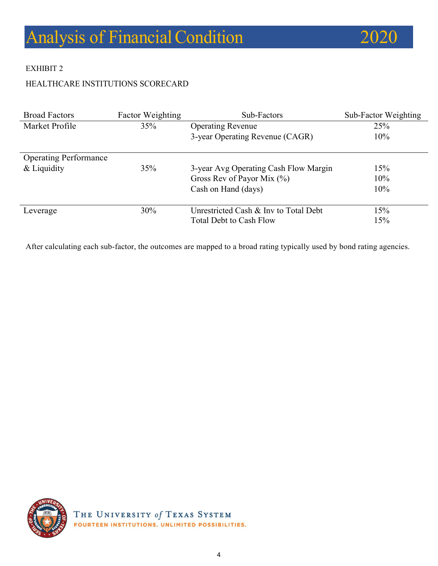

#### EXHIBIT 2

## HEALTHCARE INSTITUTIONS SCORECARD

| <b>Broad Factors</b>         | <b>Factor Weighting</b> | Sub-Factors                           | Sub-Factor Weighting |
|------------------------------|-------------------------|---------------------------------------|----------------------|
| Market Profile               | 35%                     | <b>Operating Revenue</b>              | 25%                  |
|                              |                         | 3-year Operating Revenue (CAGR)       | 10%                  |
| <b>Operating Performance</b> |                         |                                       |                      |
| & Liquidity                  | 35%                     | 3-year Avg Operating Cash Flow Margin | 15%                  |
|                              |                         | Gross Rev of Payor Mix $(\% )$        | 10%                  |
|                              |                         | Cash on Hand (days)                   | 10%                  |
| Leverage                     | 30%                     | Unrestricted Cash & Inv to Total Debt | 15%                  |
|                              |                         | Total Debt to Cash Flow               | 15%                  |

After calculating each sub-factor, the outcomes are mapped to a broad rating typically used by bond rating agencies.

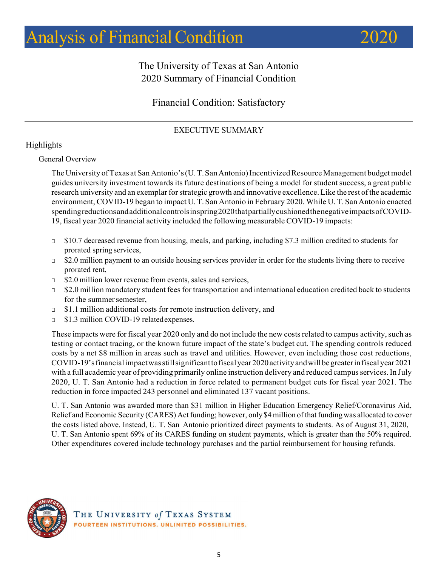

# The University of Texas at San Antonio 2020 Summary of Financial Condition

# Financial Condition: Satisfactory

# EXECUTIVE SUMMARY

# Highlights

#### General Overview

The University of Texas at San Antonio's (U.T. San Antonio) Incentivized Resource Management budget model guides university investment towards its future destinations of being a model for student success, a great public research university and an exemplar for strategic growth and innovative excellence. Like the rest of the academic environment, COVID-19 began to impact U.T. San Antonio in February 2020. While U.T. San Antonio enacted spendingreductionsandadditionalcontrolsinspring2020thatpartiallycushionedthenegativeimpactsofCOVID-19, fiscal year 2020 financial activity included the following measurable COVID-19 impacts:

- □ \$10.7 decreased revenue from housing, meals, and parking, including \$7.3 million credited to students for prorated spring services,
- $\Box$  \$2.0 million payment to an outside housing services provider in order for the students living there to receive prorated rent,
- □ \$2.0 million lower revenue from events, sales and services,
- \$2.0 million mandatory student fees for transportation and international education credited back to students for the summer semester,
- □ \$1.1 million additional costs for remote instruction delivery, and
- □ \$1.3 million COVID-19 related expenses.

These impacts were for fiscal year 2020 only and do not include the new costs related to campus activity, such as testing or contact tracing, or the known future impact of the state's budget cut. The spending controls reduced costs by a net \$8 million in areas such as travel and utilities. However, even including those cost reductions, COVID-19'sfinancialimpactwasstillsignificanttofiscalyear2020activityandwillbegreaterinfiscalyear 2021 with a full academic year of providing primarily online instruction delivery and reduced campus services. In July 2020, U. T. San Antonio had a reduction in force related to permanent budget cuts for fiscal year 2021. The reduction in force impacted 243 personnel and eliminated 137 vacant positions.

U. T. San Antonio was awarded more than \$31 million in Higher Education Emergency Relief/Coronavirus Aid, Relief and Economic Security (CARES) Act funding; however, only \$4 million of that funding was allocated to cover the costs listed above. Instead, U. T. San Antonio prioritized direct payments to students. As of August 31, 2020, U. T. San Antonio spent 69% of its CARES funding on student payments, which is greater than the 50% required. Other expenditures covered include technology purchases and the partial reimbursement for housing refunds.

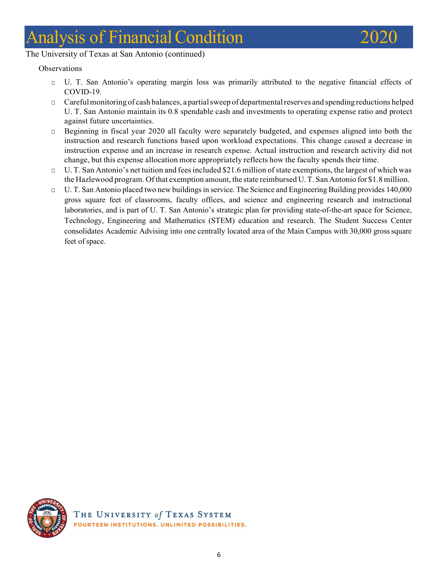#### The University of Texas at San Antonio (continued)

**Observations** 

□ U. T. San Antonio's operating margin loss was primarily attributed to the negative financial effects of COVID-19.

2020

- □ Carefulmonitoring of cash balances, a partialsweep of departmentalreserves and spending reductions helped U. T. San Antonio maintain its 0.8 spendable cash and investments to operating expense ratio and protect against future uncertainties.
- $\Box$  Beginning in fiscal year 2020 all faculty were separately budgeted, and expenses aligned into both the instruction and research functions based upon workload expectations. This change caused a decrease in instruction expense and an increase in research expense. Actual instruction and research activity did not change, but this expense allocation more appropriately reflects how the faculty spends their time.
- $\Box$  U. T. San Antonio's net tuition and fees included \$21.6 million of state exemptions, the largest of which was the Hazlewood program. Ofthat exemption amount, the state reimbursed U.T. San Antonio for \$1.8million.
- □ U. T. San Antonio placed two new buildings in service. The Science and Engineering Building provides 140,000 gross square feet of classrooms, faculty offices, and science and engineering research and instructional laboratories, and is part of U. T. San Antonio's strategic plan for providing state-of-the-art space for Science, Technology, Engineering and Mathematics (STEM) education and research. The Student Success Center consolidates Academic Advising into one centrally located area of the Main Campus with 30,000 grosssquare feet of space.

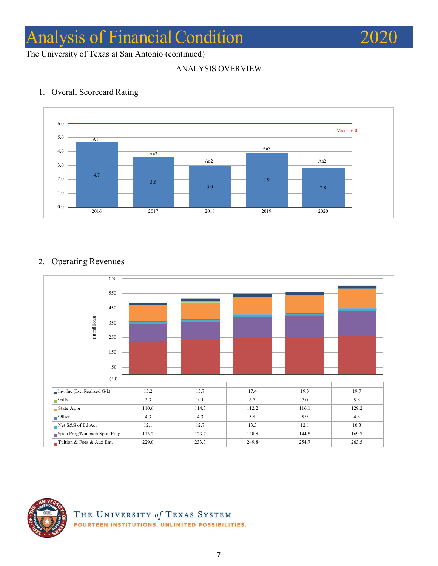

The University of Texas at San Antonio (continued)

# ANALYSIS OVERVIEW



### 1. Overall Scorecard Rating

#### 2. Operating Revenues





THE UNIVERSITY of TEXAS SYSTEM FOURTEEN INSTITUTIONS. UNLIMITED POSSIBILITIES.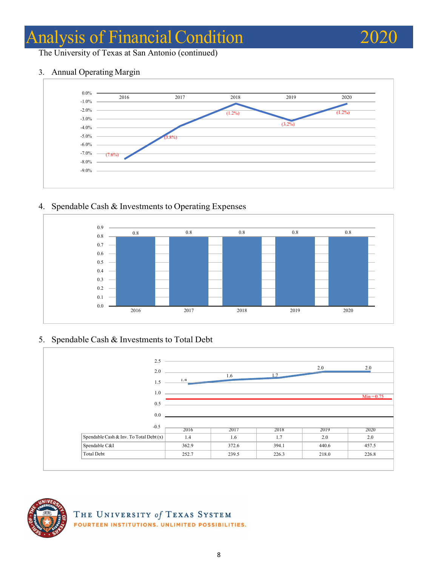# Analysis of Financial Condition



The University of Texas at San Antonio (continued)





#### 4. Spendable Cash & Investments to Operating Expenses



# 5. Spendable Cash & Investments to Total Debt





THE UNIVERSITY of TEXAS SYSTEM FOURTEEN INSTITUTIONS. UNLIMITED POSSIBILITIES.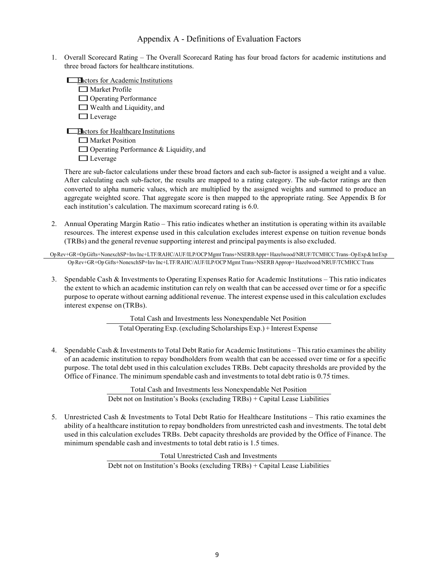#### Appendix A - Definitions of Evaluation Factors

1. Overall Scorecard Rating – The Overall Scorecard Rating has four broad factors for academic institutions and three broad factors for healthcare institutions.<br>
<del>■ Factors</del> for Academic Institutions

|--|

| е поводно тог только противали по      |
|----------------------------------------|
| $\Box$ Market Profile                  |
| $\Box$ Operating Performance           |
| $\Box$ Wealth and Liquidity, and       |
| $\Box$ Leverage                        |
| Latena Cen II.a 141. sens Institutions |

**Electors for Healthcare Institutions** 

□ Market Position

□Operating Performance & Liquidity, and

□Leverage

There are sub-factor calculations under these broad factors and each sub-factor is assigned a weight and a value. After calculating each sub-factor, the results are mapped to a rating category. The sub-factor ratings are then converted to alpha numeric values, which are multiplied by the assigned weights and summed to produce an aggregate weighted score. That aggregate score is then mapped to the appropriate rating. See Appendix B for each institution's calculation. The maximum scorecard rating is 6.0.

- 2. Annual Operating Margin Ratio This ratio indicates whether an institution is operating within its available resources. The interest expense used in this calculation excludes interest expense on tuition revenue bonds (TRBs) and the general revenue supporting interest and principal payments is also excluded.
- OpRev+GR+OpGifts+NonexchSP+InvInc+LTF/RAHC/AUF/ILP/OCPMgmtTrans+NSERBAppr+Hazelwood/NRUF/TCMHCCTrans–OpExp & IntExp OpRev+GR+Op Gifts+NonexchSP+Inv Inc+LTF/RAHC/AUF/ILP/OCP Mgmt Trans+NSERB Approp+ Hazelwood/NRUF/TCMHCCTrans
- 3. Spendable Cash & Investments to Operating Expenses Ratio for Academic Institutions This ratio indicates the extent to which an academic institution can rely on wealth that can be accessed over time or for a specific purpose to operate without earning additional revenue. The interest expense used in this calculation excludes interest expense on (TRBs).

Total Cash and Investments less Nonexpendable Net Position Total Operating Exp. (excluding Scholarships Exp.) + Interest Expense

4. Spendable Cash & Investments to Total Debt Ratio for Academic Institutions – This ratio examines the ability of an academic institution to repay bondholders from wealth that can be accessed over time or for a specific purpose. The total debt used in this calculation excludes TRBs. Debt capacity thresholds are provided by the Office of Finance. The minimum spendable cash and investments to total debt ratio is 0.75 times.

> Total Cash and Investments less Nonexpendable Net Position Debt not on Institution's Books (excluding TRBs) + Capital Lease Liabilities

5. Unrestricted Cash & Investments to Total Debt Ratio for Healthcare Institutions – This ratio examines the ability of a healthcare institution to repay bondholders from unrestricted cash and investments. The total debt used in this calculation excludes TRBs. Debt capacity thresholds are provided by the Office of Finance. The minimum spendable cash and investments to total debt ratio is 1.5 times.

> Total Unrestricted Cash and Investments Debt not on Institution's Books (excluding TRBs) + Capital Lease Liabilities